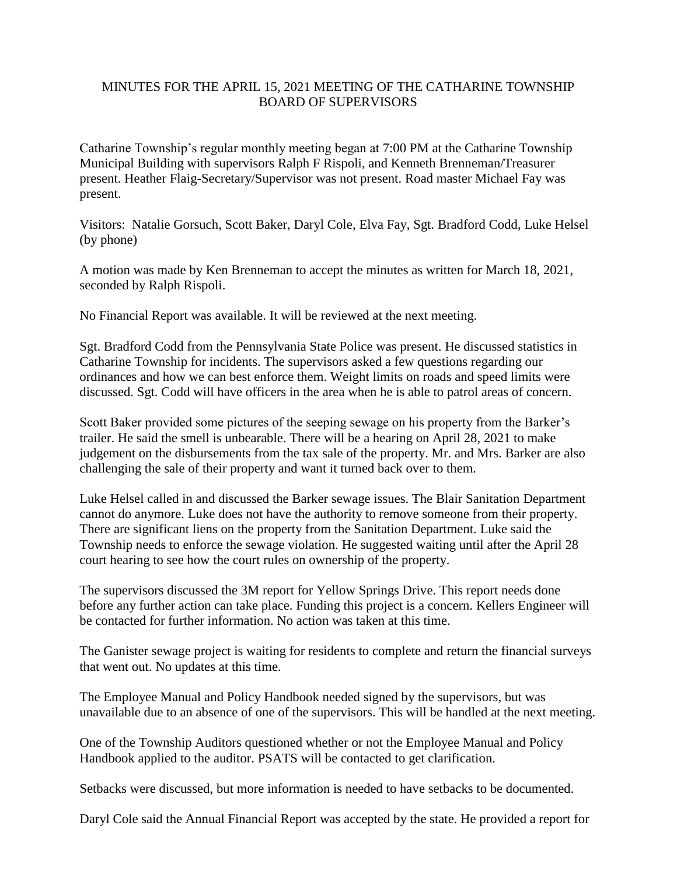## MINUTES FOR THE APRIL 15, 2021 MEETING OF THE CATHARINE TOWNSHIP BOARD OF SUPERVISORS

Catharine Township's regular monthly meeting began at 7:00 PM at the Catharine Township Municipal Building with supervisors Ralph F Rispoli, and Kenneth Brenneman/Treasurer present. Heather Flaig-Secretary/Supervisor was not present. Road master Michael Fay was present.

Visitors: Natalie Gorsuch, Scott Baker, Daryl Cole, Elva Fay, Sgt. Bradford Codd, Luke Helsel (by phone)

A motion was made by Ken Brenneman to accept the minutes as written for March 18, 2021, seconded by Ralph Rispoli.

No Financial Report was available. It will be reviewed at the next meeting.

Sgt. Bradford Codd from the Pennsylvania State Police was present. He discussed statistics in Catharine Township for incidents. The supervisors asked a few questions regarding our ordinances and how we can best enforce them. Weight limits on roads and speed limits were discussed. Sgt. Codd will have officers in the area when he is able to patrol areas of concern.

Scott Baker provided some pictures of the seeping sewage on his property from the Barker's trailer. He said the smell is unbearable. There will be a hearing on April 28, 2021 to make judgement on the disbursements from the tax sale of the property. Mr. and Mrs. Barker are also challenging the sale of their property and want it turned back over to them.

Luke Helsel called in and discussed the Barker sewage issues. The Blair Sanitation Department cannot do anymore. Luke does not have the authority to remove someone from their property. There are significant liens on the property from the Sanitation Department. Luke said the Township needs to enforce the sewage violation. He suggested waiting until after the April 28 court hearing to see how the court rules on ownership of the property.

The supervisors discussed the 3M report for Yellow Springs Drive. This report needs done before any further action can take place. Funding this project is a concern. Kellers Engineer will be contacted for further information. No action was taken at this time.

The Ganister sewage project is waiting for residents to complete and return the financial surveys that went out. No updates at this time.

The Employee Manual and Policy Handbook needed signed by the supervisors, but was unavailable due to an absence of one of the supervisors. This will be handled at the next meeting.

One of the Township Auditors questioned whether or not the Employee Manual and Policy Handbook applied to the auditor. PSATS will be contacted to get clarification.

Setbacks were discussed, but more information is needed to have setbacks to be documented.

Daryl Cole said the Annual Financial Report was accepted by the state. He provided a report for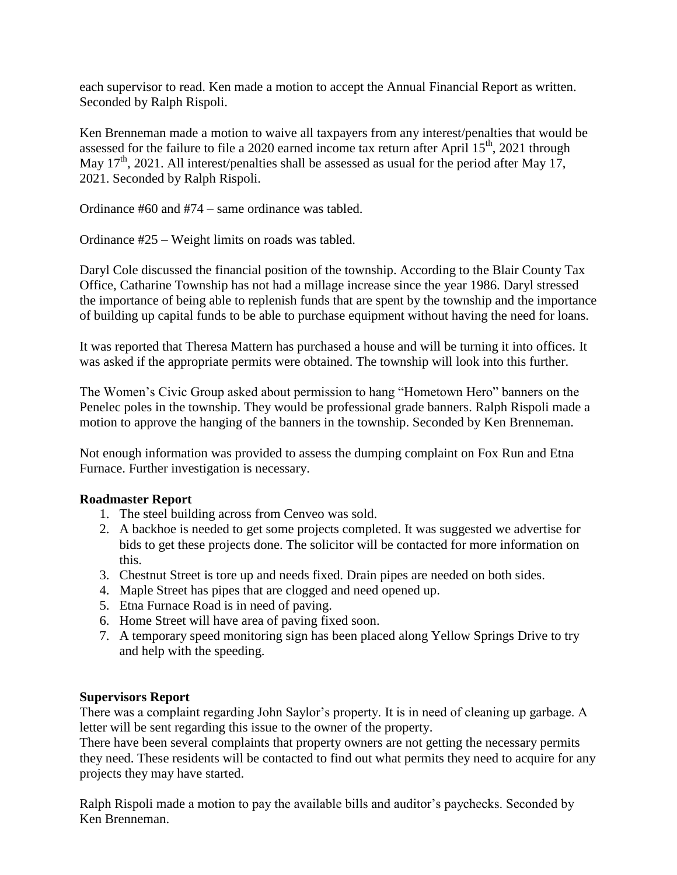each supervisor to read. Ken made a motion to accept the Annual Financial Report as written. Seconded by Ralph Rispoli.

Ken Brenneman made a motion to waive all taxpayers from any interest/penalties that would be assessed for the failure to file a 2020 earned income tax return after April  $15<sup>th</sup>$ , 2021 through May  $17<sup>th</sup>$ , 2021. All interest/penalties shall be assessed as usual for the period after May 17, 2021. Seconded by Ralph Rispoli.

Ordinance #60 and #74 – same ordinance was tabled.

Ordinance #25 – Weight limits on roads was tabled.

Daryl Cole discussed the financial position of the township. According to the Blair County Tax Office, Catharine Township has not had a millage increase since the year 1986. Daryl stressed the importance of being able to replenish funds that are spent by the township and the importance of building up capital funds to be able to purchase equipment without having the need for loans.

It was reported that Theresa Mattern has purchased a house and will be turning it into offices. It was asked if the appropriate permits were obtained. The township will look into this further.

The Women's Civic Group asked about permission to hang "Hometown Hero" banners on the Penelec poles in the township. They would be professional grade banners. Ralph Rispoli made a motion to approve the hanging of the banners in the township. Seconded by Ken Brenneman.

Not enough information was provided to assess the dumping complaint on Fox Run and Etna Furnace. Further investigation is necessary.

## **Roadmaster Report**

- 1. The steel building across from Cenveo was sold.
- 2. A backhoe is needed to get some projects completed. It was suggested we advertise for bids to get these projects done. The solicitor will be contacted for more information on this.
- 3. Chestnut Street is tore up and needs fixed. Drain pipes are needed on both sides.
- 4. Maple Street has pipes that are clogged and need opened up.
- 5. Etna Furnace Road is in need of paving.
- 6. Home Street will have area of paving fixed soon.
- 7. A temporary speed monitoring sign has been placed along Yellow Springs Drive to try and help with the speeding.

## **Supervisors Report**

There was a complaint regarding John Saylor's property. It is in need of cleaning up garbage. A letter will be sent regarding this issue to the owner of the property.

There have been several complaints that property owners are not getting the necessary permits they need. These residents will be contacted to find out what permits they need to acquire for any projects they may have started.

Ralph Rispoli made a motion to pay the available bills and auditor's paychecks. Seconded by Ken Brenneman.